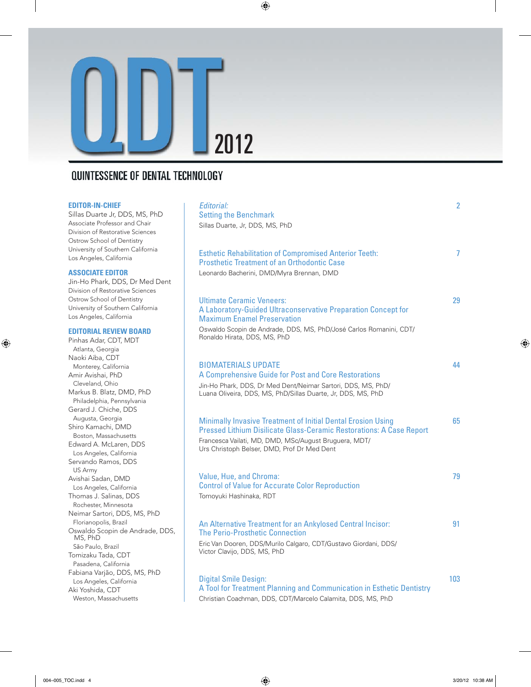

# **QUINTESSENCE OF DENTAL TECHNOLOGY**

#### **EDITOR-IN-CHIEF**

Sillas Duarte Jr, DDS, MS, PhD Associate Professor and Chair Division of Restorative Sciences Ostrow School of Dentistry University of Southern California Los Angeles, California

#### **ASSOCIATE EDITOR**

Jin-Ho Phark, DDS, Dr Med Dent Division of Restorative Sciences Ostrow School of Dentistry University of Southern California Los Angeles, California

### **EDITORIAL REVIEW BOARD**

Pinhas Adar, CDT, MDT Atlanta, Georgia Naoki Aiba, CDT Monterey, California Amir Avishai, PhD Cleveland, Ohio Markus B. Blatz, DMD, PhD Philadelphia, Pennsylvania Gerard J. Chiche, DDS Augusta, Georgia Shiro Kamachi, DMD Boston, Massachusetts Edward A. McLaren, DDS Los Angeles, California Servando Ramos, DDS US Army Avishai Sadan, DMD Los Angeles, California Thomas J. Salinas, DDS Rochester, Minnesota Neimar Sartori, DDS, MS, PhD Florianopolis, Brazil Oswaldo Scopin de Andrade, DDS, MS, PhD São Paulo, Brazil Tomizaku Tada, CDT Pasadena, California Fabiana Varjão, DDS, MS, PhD Los Angeles, California Aki Yoshida, CDT Weston, Massachusetts

| Editorial:<br><b>Setting the Benchmark</b>                                                                                                                                                                                                                 | 2   |
|------------------------------------------------------------------------------------------------------------------------------------------------------------------------------------------------------------------------------------------------------------|-----|
| Sillas Duarte, Jr, DDS, MS, PhD                                                                                                                                                                                                                            |     |
| <b>Esthetic Rehabilitation of Compromised Anterior Teeth:</b><br><b>Prosthetic Treatment of an Orthodontic Case</b><br>Leonardo Bacherini, DMD/Myra Brennan, DMD                                                                                           | 7   |
| <b>Ultimate Ceramic Veneers:</b><br>A Laboratory-Guided Ultraconservative Preparation Concept for<br><b>Maximum Enamel Preservation</b><br>Oswaldo Scopin de Andrade, DDS, MS, PhD/José Carlos Romanini, CDT/<br>Ronaldo Hirata, DDS, MS, PhD              | 29  |
| <b>BIOMATERIALS UPDATE</b><br>A Comprehensive Guide for Post and Core Restorations<br>Jin-Ho Phark, DDS, Dr Med Dent/Neimar Sartori, DDS, MS, PhD/<br>Luana Oliveira, DDS, MS, PhD/Sillas Duarte, Jr, DDS, MS, PhD                                         | 44  |
| <b>Minimally Invasive Treatment of Initial Dental Erosion Using</b><br><b>Pressed Lithium Disilicate Glass-Ceramic Restorations: A Case Report</b><br>Francesca Vailati, MD, DMD, MSc/August Bruguera, MDT/<br>Urs Christoph Belser, DMD, Prof Dr Med Dent | 65  |
| Value, Hue, and Chroma:<br><b>Control of Value for Accurate Color Reproduction</b><br>Tomoyuki Hashinaka, RDT                                                                                                                                              | 79  |
| An Alternative Treatment for an Ankylosed Central Incisor:<br>The Perio-Prosthetic Connection<br>Eric Van Dooren, DDS/Murilo Calgaro, CDT/Gustavo Giordani, DDS/<br>Victor Clavijo, DDS, MS, PhD                                                           | 91  |
| <b>Digital Smile Design:</b>                                                                                                                                                                                                                               | 103 |

A Tool for Treatment Planning and Communication in Esthetic Dentistry Christian Coachman, DDS, CDT/Marcelo Calamita, DDS, MS, PhD